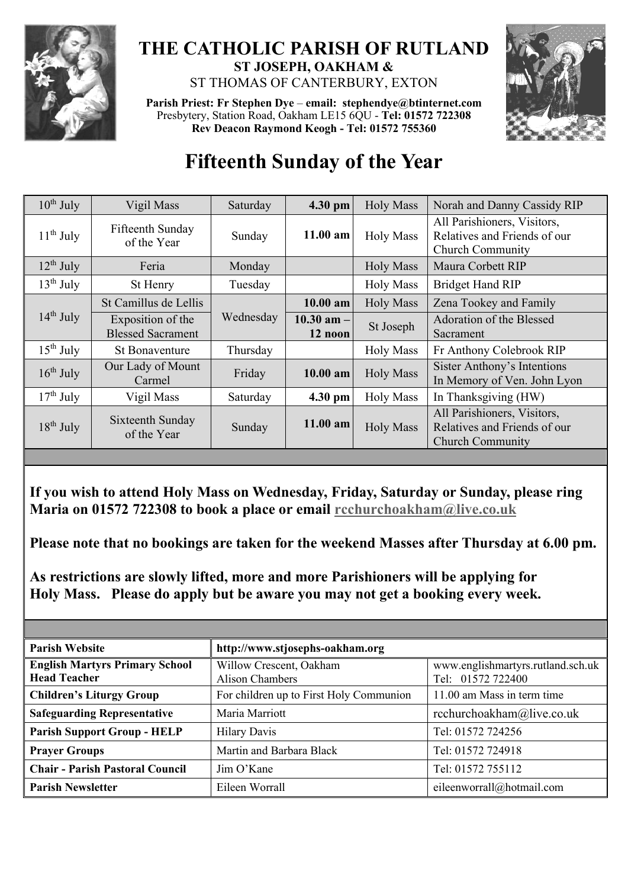

## **THE CATHOLIC PARISH OF RUTLAND ST JOSEPH, OAKHAM &**  ST THOMAS OF CANTERBURY, EXTON

**Parish Priest: Fr Stephen Dye** – **[email: stephendye@btinternet.com](mailto:email:%20%20stephendye@btinternet.com)** Presbytery, Station Road, Oakham LE15 6QU - **Tel: 01572 722308 Rev Deacon Raymond Keogh - Tel: 01572 755360**



## **Fifteenth Sunday of the Year**

| $10^{th}$ July | Vigil Mass                                    | Saturday  | 4.30 pm                   | <b>Holy Mass</b> | Norah and Danny Cassidy RIP                                                            |
|----------------|-----------------------------------------------|-----------|---------------------------|------------------|----------------------------------------------------------------------------------------|
| $11th$ July    | Fifteenth Sunday<br>of the Year               | Sunday    | $11.00$ am                | <b>Holy Mass</b> | All Parishioners, Visitors,<br>Relatives and Friends of our<br><b>Church Community</b> |
| $12^{th}$ July | Feria                                         | Monday    |                           | <b>Holy Mass</b> | Maura Corbett RIP                                                                      |
| $13th$ July    | St Henry                                      | Tuesday   |                           | <b>Holy Mass</b> | <b>Bridget Hand RIP</b>                                                                |
| $14th$ July    | St Camillus de Lellis                         | Wednesday | $10.00$ am                | <b>Holy Mass</b> | Zena Tookey and Family                                                                 |
|                | Exposition of the<br><b>Blessed Sacrament</b> |           | $10.30$ am $-$<br>12 noon | St Joseph        | Adoration of the Blessed<br>Sacrament                                                  |
| $15^{th}$ July | <b>St Bonaventure</b>                         | Thursday  |                           | <b>Holy Mass</b> | Fr Anthony Colebrook RIP                                                               |
| $16^{th}$ July | Our Lady of Mount<br>Carmel                   | Friday    | $10.00$ am                | <b>Holy Mass</b> | Sister Anthony's Intentions<br>In Memory of Ven. John Lyon                             |
| $17th$ July    | Vigil Mass                                    | Saturday  | 4.30 pm                   | <b>Holy Mass</b> | In Thanksgiving (HW)                                                                   |
| $18th$ July    | Sixteenth Sunday<br>of the Year               | Sunday    | $11.00$ am                | <b>Holy Mass</b> | All Parishioners, Visitors,<br>Relatives and Friends of our<br><b>Church Community</b> |

**If you wish to attend Holy Mass on Wednesday, Friday, Saturday or Sunday, please ring Maria on 01572 722308 to book a place or email [rcchurchoakham@live.co.uk](mailto:rcchurchoakham@live.co.uk)**

**Please note that no bookings are taken for the weekend Masses after Thursday at 6.00 pm.**

**As restrictions are slowly lifted, more and more Parishioners will be applying for Holy Mass. Please do apply but be aware you may not get a booking every week.**

| <b>Parish Website</b>                                        | http://www.stjosephs-oakham.org                   |                                                        |  |  |
|--------------------------------------------------------------|---------------------------------------------------|--------------------------------------------------------|--|--|
| <b>English Martyrs Primary School</b><br><b>Head Teacher</b> | Willow Crescent, Oakham<br><b>Alison Chambers</b> | www.englishmartyrs.rutland.sch.uk<br>Tel: 01572 722400 |  |  |
| <b>Children's Liturgy Group</b>                              | For children up to First Holy Communion           | 11.00 am Mass in term time                             |  |  |
| <b>Safeguarding Representative</b>                           | Maria Marriott                                    | rcchurchoakham@live.co.uk                              |  |  |
| <b>Parish Support Group - HELP</b>                           | <b>Hilary Davis</b>                               | Tel: 01572 724256                                      |  |  |
| <b>Prayer Groups</b>                                         | Martin and Barbara Black                          | Tel: 01572 724918                                      |  |  |
| <b>Chair - Parish Pastoral Council</b>                       | Jim O'Kane                                        | Tel: 01572 755112                                      |  |  |
| <b>Parish Newsletter</b>                                     | Eileen Worrall                                    | eileenworrall@hotmail.com                              |  |  |